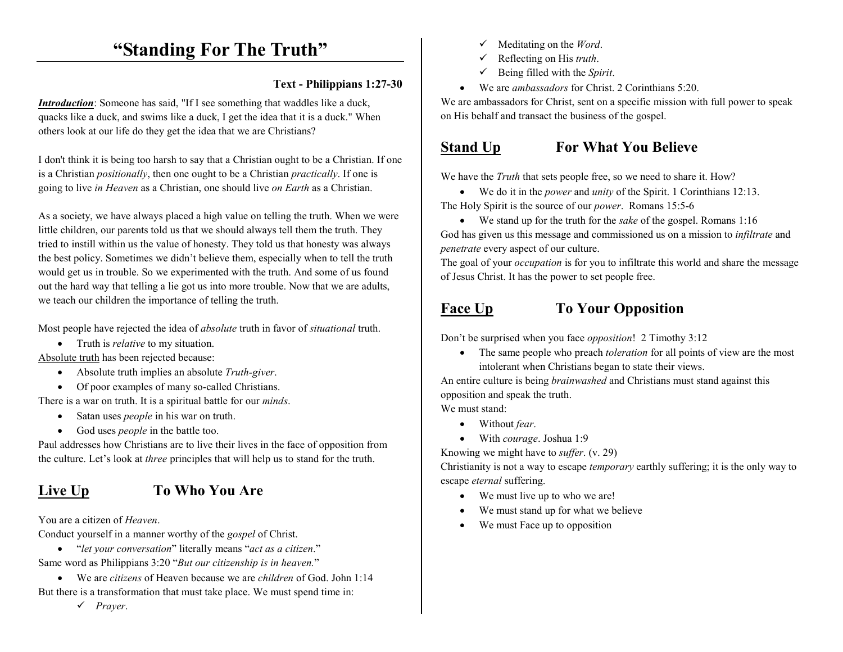# **"Standing For The Truth"**

#### **Text - Philippians 1:27-30**

*Introduction*: Someone has said, "If I see something that waddles like a duck, quacks like a duck, and swims like a duck, I get the idea that it is a duck." When others look at our life do they get the idea that we are Christians?

I don't think it is being too harsh to say that a Christian ought to be a Christian. If one is a Christian *positionally*, then one ought to be a Christian *practically*. If one is going to live *in Heaven* as a Christian, one should live *on Earth* as a Christian.

As a society, we have always placed a high value on telling the truth. When we were little children, our parents told us that we should always tell them the truth. They tried to instill within us the value of honesty. They told us that honesty was always the best policy. Sometimes we didn't believe them, especially when to tell the truth would get us in trouble. So we experimented with the truth. And some of us found out the hard way that telling a lie got us into more trouble. Now that we are adults, we teach our children the importance of telling the truth.

Most people have rejected the idea of *absolute* truth in favor of *situational* truth.

• Truth is *relative* to my situation.

Absolute truth has been rejected because:

- Absolute truth implies an absolute *Truth-giver*.
- Of poor examples of many so-called Christians.

There is a war on truth. It is a spiritual battle for our *minds*.

- Satan uses *people* in his war on truth.
- God uses *people* in the battle too.

Paul addresses how Christians are to live their lives in the face of opposition from the culture. Let's look at *three* principles that will help us to stand for the truth.

### Live Up **To Who You Are**

You are a citizen of *Heaven*.

Conduct yourself in a manner worthy of the *gospel* of Christ.

- "*let your conversation*" literally means "*act as a citizen*." Same word as Philippians 3:20 "*But our citizenship is in heaven.*"
- We are *citizens* of Heaven because we are *children* of God. John 1:14 But there is a transformation that must take place. We must spend time in:
	- *Prayer*.
- ✓ Meditating on the *Word*.
- $\checkmark$ Reflecting on His *truth*.
- $\checkmark$ Being filled with the *Spirit*.
- We are *ambassadors* for Christ. 2 Corinthians 5:20.

We are ambassadors for Christ, sent on a specific mission with full power to speak on His behalf and transact the business of the gospel.

### **Stand Up For What You Believe**

We have the *Truth* that sets people free, so we need to share it. How?

- We do it in the *power* and *unity* of the Spirit. 1 Corinthians 12:13. The Holy Spirit is the source of our *power*. Romans 15:5-6
- We stand up for the truth for the *sake* of the gospel. Romans 1:16 God has given us this message and commissioned us on a mission to *infiltrate* and *penetrate* every aspect of our culture.

 The goal of your *occupation* is for you to infiltrate this world and share the message of Jesus Christ. It has the power to set people free.

#### Face Up To Your Opposition

Don't be surprised when you face *opposition*! 2 Timothy 3:12

• The same people who preach *toleration* for all points of view are the most intolerant when Christians began to state their views.

An entire culture is being *brainwashed* and Christians must stand against this opposition and speak the truth.

We must stand:

- Without *fear*.
- With *courage*. Joshua 1:9

Knowing we might have to *suffer*. (v. 29)

Christianity is not a way to escape *temporary* earthly suffering; it is the only way to escape *eternal* suffering.

- We must live up to who we are!
- •We must stand up for what we believe
- •We must Face up to opposition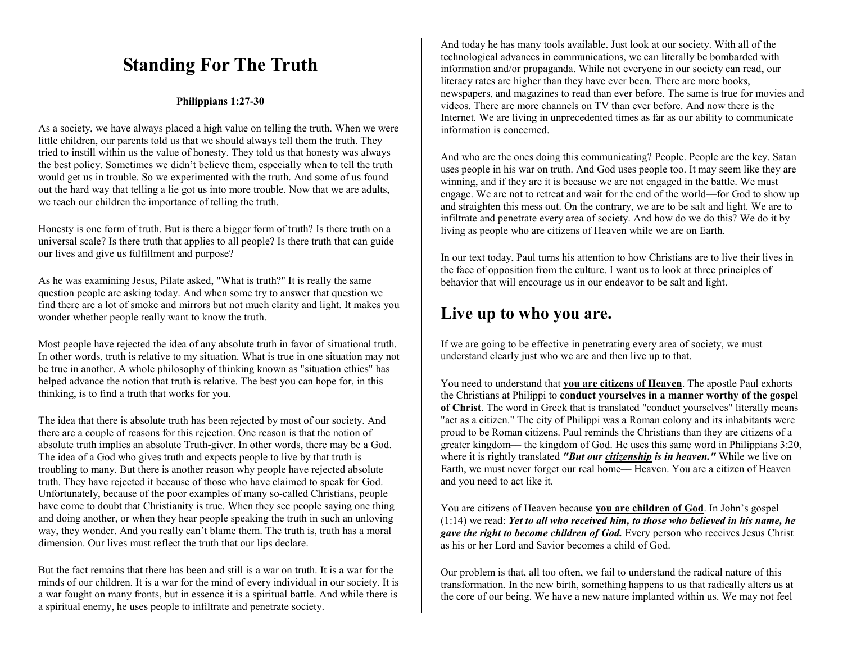# **Standing For The Truth**

#### **Philippians 1:27-30**

As a society, we have always placed a high value on telling the truth. When we were little children, our parents told us that we should always tell them the truth. They tried to instill within us the value of honesty. They told us that honesty was always the best policy. Sometimes we didn't believe them, especially when to tell the truth would get us in trouble. So we experimented with the truth. And some of us found out the hard way that telling a lie got us into more trouble. Now that we are adults, we teach our children the importance of telling the truth.

Honesty is one form of truth. But is there a bigger form of truth? Is there truth on a universal scale? Is there truth that applies to all people? Is there truth that can guide our lives and give us fulfillment and purpose?

As he was examining Jesus, Pilate asked, "What is truth?" It is really the same question people are asking today. And when some try to answer that question we find there are a lot of smoke and mirrors but not much clarity and light. It makes you wonder whether people really want to know the truth.

Most people have rejected the idea of any absolute truth in favor of situational truth. In other words, truth is relative to my situation. What is true in one situation may not be true in another. A whole philosophy of thinking known as "situation ethics" has helped advance the notion that truth is relative. The best you can hope for, in this thinking, is to find a truth that works for you.

The idea that there is absolute truth has been rejected by most of our society. And there are a couple of reasons for this rejection. One reason is that the notion of absolute truth implies an absolute Truth-giver. In other words, there may be a God. The idea of a God who gives truth and expects people to live by that truth is troubling to many. But there is another reason why people have rejected absolute truth. They have rejected it because of those who have claimed to speak for God. Unfortunately, because of the poor examples of many so-called Christians, people have come to doubt that Christianity is true. When they see people saying one thing and doing another, or when they hear people speaking the truth in such an unloving way, they wonder. And you really can't blame them. The truth is, truth has a moral dimension. Our lives must reflect the truth that our lips declare.

But the fact remains that there has been and still is a war on truth. It is a war for the minds of our children. It is a war for the mind of every individual in our society. It is a war fought on many fronts, but in essence it is a spiritual battle. And while there is a spiritual enemy, he uses people to infiltrate and penetrate society.

And today he has many tools available. Just look at our society. With all of the technological advances in communications, we can literally be bombarded with information and/or propaganda. While not everyone in our society can read, our literacy rates are higher than they have ever been. There are more books, newspapers, and magazines to read than ever before. The same is true for movies and videos. There are more channels on TV than ever before. And now there is the Internet. We are living in unprecedented times as far as our ability to communicate information is concerned.

And who are the ones doing this communicating? People. People are the key. Satan uses people in his war on truth. And God uses people too. It may seem like they are winning, and if they are it is because we are not engaged in the battle. We must engage. We are not to retreat and wait for the end of the world––for God to show up and straighten this mess out. On the contrary, we are to be salt and light. We are to infiltrate and penetrate every area of society. And how do we do this? We do it by living as people who are citizens of Heaven while we are on Earth.

In our text today, Paul turns his attention to how Christians are to live their lives in the face of opposition from the culture. I want us to look at three principles of behavior that will encourage us in our endeavor to be salt and light.

## **Live up to who you are.**

If we are going to be effective in penetrating every area of society, we must understand clearly just who we are and then live up to that.

You need to understand that **you are citizens of Heaven**. The apostle Paul exhorts the Christians at Philippi to **conduct yourselves in a manner worthy of the gospel of Christ**. The word in Greek that is translated "conduct yourselves" literally means "act as a citizen." The city of Philippi was a Roman colony and its inhabitants were proud to be Roman citizens. Paul reminds the Christians than they are citizens of a greater kingdom–– the kingdom of God. He uses this same word in Philippians 3:20, where it is rightly translated *"But our citizenship is in heaven."* While we live on Earth, we must never forget our real home—Heaven. You are a citizen of Heaven and you need to act like it.

You are citizens of Heaven because **you are children of God**. In John's gospel (1:14) we read: *Yet to all who received him, to those who believed in his name, he gave the right to become children of God.* Every person who receives Jesus Christ as his or her Lord and Savior becomes a child of God.

Our problem is that, all too often, we fail to understand the radical nature of this transformation. In the new birth, something happens to us that radically alters us at the core of our being. We have a new nature implanted within us. We may not feel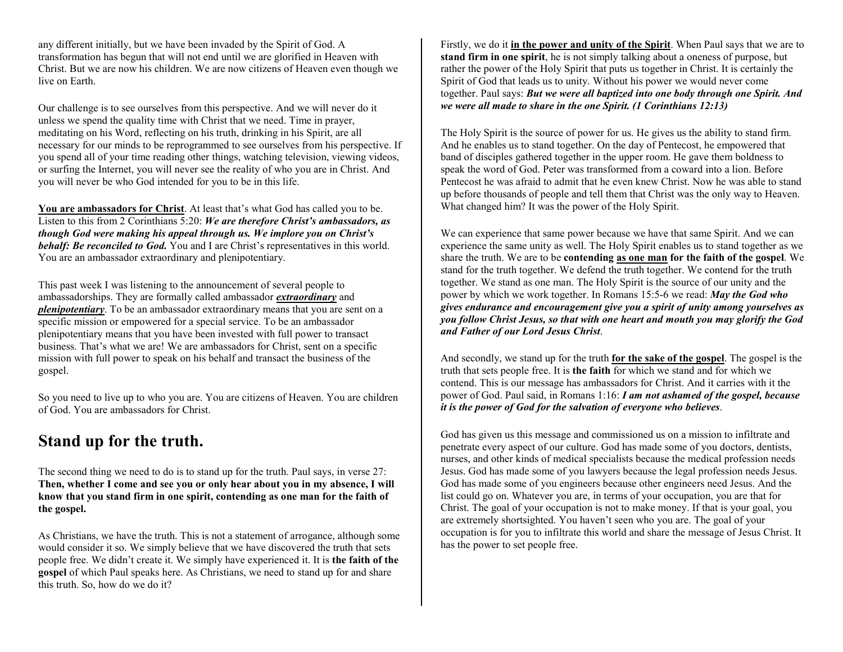any different initially, but we have been invaded by the Spirit of God. A transformation has begun that will not end until we are glorified in Heaven with Christ. But we are now his children. We are now citizens of Heaven even though we live on Earth.

Our challenge is to see ourselves from this perspective. And we will never do it unless we spend the quality time with Christ that we need. Time in prayer, meditating on his Word, reflecting on his truth, drinking in his Spirit, are all necessary for our minds to be reprogrammed to see ourselves from his perspective. If you spend all of your time reading other things, watching television, viewing videos, or surfing the Internet, you will never see the reality of who you are in Christ. And you will never be who God intended for you to be in this life.

**You are ambassadors for Christ**. At least that's what God has called you to be. Listen to this from 2 Corinthians 5:20: *We are therefore Christ's ambassadors, as though God were making his appeal through us. We implore you on Christ's behalf: Be reconciled to God.* You and I are Christ's representatives in this world. You are an ambassador extraordinary and plenipotentiary.

This past week I was listening to the announcement of several people to ambassadorships. They are formally called ambassador *extraordinary* and *plenipotentiary*. To be an ambassador extraordinary means that you are sent on a specific mission or empowered for a special service. To be an ambassador plenipotentiary means that you have been invested with full power to transact business. That's what we are! We are ambassadors for Christ, sent on a specific mission with full power to speak on his behalf and transact the business of the gospel.

So you need to live up to who you are. You are citizens of Heaven. You are children of God. You are ambassadors for Christ.

## **Stand up for the truth.**

The second thing we need to do is to stand up for the truth. Paul says, in verse 27: **Then, whether I come and see you or only hear about you in my absence, I will know that you stand firm in one spirit, contending as one man for the faith of the gospel.** 

As Christians, we have the truth. This is not a statement of arrogance, although some would consider it so. We simply believe that we have discovered the truth that sets people free. We didn't create it. We simply have experienced it. It is **the faith of the gospel** of which Paul speaks here. As Christians, we need to stand up for and share this truth. So, how do we do it?

Firstly, we do it **in the power and unity of the Spirit**. When Paul says that we are to **stand firm in one spirit**, he is not simply talking about a oneness of purpose, but rather the power of the Holy Spirit that puts us together in Christ. It is certainly the Spirit of God that leads us to unity. Without his power we would never come together. Paul says: *But we were all baptized into one body through one Spirit. And we were all made to share in the one Spirit. (1 Corinthians 12:13)* 

The Holy Spirit is the source of power for us. He gives us the ability to stand firm. And he enables us to stand together. On the day of Pentecost, he empowered that band of disciples gathered together in the upper room. He gave them boldness to speak the word of God. Peter was transformed from a coward into a lion. Before Pentecost he was afraid to admit that he even knew Christ. Now he was able to stand up before thousands of people and tell them that Christ was the only way to Heaven. What changed him? It was the power of the Holy Spirit.

We can experience that same power because we have that same Spirit. And we can experience the same unity as well. The Holy Spirit enables us to stand together as we share the truth. We are to be **contending as one man for the faith of the gospel**. We stand for the truth together. We defend the truth together. We contend for the truth together. We stand as one man. The Holy Spirit is the source of our unity and the power by which we work together. In Romans 15:5-6 we read: *May the God who gives endurance and encouragement give you a spirit of unity among yourselves as you follow Christ Jesus, so that with one heart and mouth you may glorify the God and Father of our Lord Jesus Christ*.

And secondly, we stand up for the truth **for the sake of the gospel**. The gospel is the truth that sets people free. It is **the faith** for which we stand and for which we contend. This is our message has ambassadors for Christ. And it carries with it the power of God. Paul said, in Romans 1:16: *I am not ashamed of the gospel, because it is the power of God for the salvation of everyone who believes*.

God has given us this message and commissioned us on a mission to infiltrate and penetrate every aspect of our culture. God has made some of you doctors, dentists, nurses, and other kinds of medical specialists because the medical profession needs Jesus. God has made some of you lawyers because the legal profession needs Jesus. God has made some of you engineers because other engineers need Jesus. And the list could go on. Whatever you are, in terms of your occupation, you are that for Christ. The goal of your occupation is not to make money. If that is your goal, you are extremely shortsighted. You haven't seen who you are. The goal of your occupation is for you to infiltrate this world and share the message of Jesus Christ. It has the power to set people free.